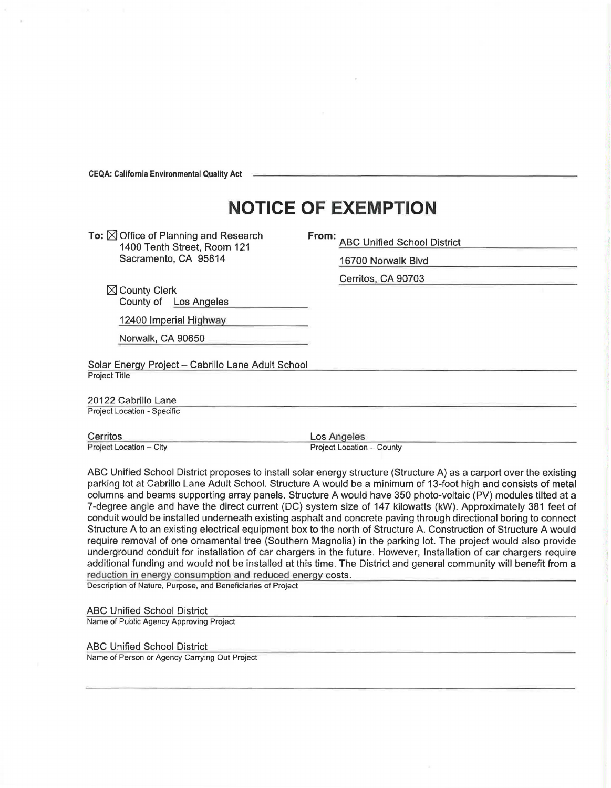**CEQA: California Environmental Quality Act** 

## **NOTICE OF EXEMPTION**

To:  $\boxtimes$  Office of Planning and Research 1400 Tenth Street, Room 121 Sacramento, CA 95814

**From:** ABC Unified School District

16700 Norwalk Blvd

Cerritos, CA 90703

 $\boxtimes$  County Clerk County of Los Angeles

12400 Imperial Highway

Norwalk, CA 90650

Solar Energy Project - Cabrillo Lane Adult School Project Title

20122 Cabrillo Lane Project Location - Specific

Cerritos Project Location - City Los Angeles Project Location - County

ABC Unified School District proposes to install solar energy structure (Structure A) as a carport over the existing parking lot at Cabrillo Lane Adult School. Structure A would be a minimum of 13-foot high and consists of metal columns and beams supporting array panels. Structure A would have 350 photo-voltaic (PV) modules tilted at a 7-degree angle and have the direct current (DC) system size of 147 kilowatts (kW). Approximately 381 feet of conduit would be installed underneath existing asphalt and concrete paving through directional boring to connect Structure A to an existing electrical equipment box to the north of Structure A. Construction of Structure A would require removal of one ornamental tree (Southern Magnolia) in the parking lot. The project would also provide underground conduit for installation of car chargers in the future. However, Installation of car chargers require additional funding and would not be installed at this time. The District and general community will benefit from a reduction in energy consumption and reduced energy costs.

Description of Nature, Purpose, and Beneficiaries of Project

## ABC Unified School District

Name of Public Agency Approving Project

## ABC Unified School District

Name of Person or Agency Carrying Out Project